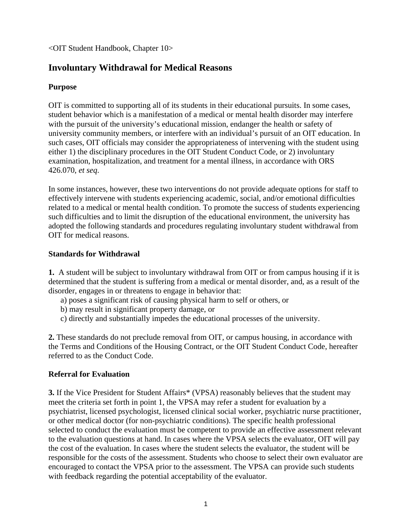<OIT Student Handbook, Chapter 10>

# **Involuntary Withdrawal for Medical Reasons**

## **Purpose**

OIT is committed to supporting all of its students in their educational pursuits. In some cases, student behavior which is a manifestation of a medical or mental health disorder may interfere with the pursuit of the university's educational mission, endanger the health or safety of university community members, or interfere with an individual's pursuit of an OIT education. In such cases, OIT officials may consider the appropriateness of intervening with the student using either 1) the disciplinary procedures in the OIT Student Conduct Code, or 2) involuntary examination, hospitalization, and treatment for a mental illness, in accordance with ORS 426.070, *et seq*.

In some instances, however, these two interventions do not provide adequate options for staff to effectively intervene with students experiencing academic, social, and/or emotional difficulties related to a medical or mental health condition. To promote the success of students experiencing such difficulties and to limit the disruption of the educational environment, the university has adopted the following standards and procedures regulating involuntary student withdrawal from OIT for medical reasons.

### **Standards for Withdrawal**

**1.** A student will be subject to involuntary withdrawal from OIT or from campus housing if it is determined that the student is suffering from a medical or mental disorder, and, as a result of the disorder, engages in or threatens to engage in behavior that:

- a) poses a significant risk of causing physical harm to self or others, or
- b) may result in significant property damage, or
- c) directly and substantially impedes the educational processes of the university.

**2.** These standards do not preclude removal from OIT, or campus housing, in accordance with the Terms and Conditions of the Housing Contract, or the OIT Student Conduct Code, hereafter referred to as the Conduct Code.

### **Referral for Evaluation**

**3.** If the Vice President for Student Affairs\* (VPSA) reasonably believes that the student may meet the criteria set forth in point 1, the VPSA may refer a student for evaluation by a psychiatrist, licensed psychologist, licensed clinical social worker, psychiatric nurse practitioner, or other medical doctor (for non-psychiatric conditions). The specific health professional selected to conduct the evaluation must be competent to provide an effective assessment relevant to the evaluation questions at hand. In cases where the VPSA selects the evaluator, OIT will pay the cost of the evaluation. In cases where the student selects the evaluator, the student will be responsible for the costs of the assessment. Students who choose to select their own evaluator are encouraged to contact the VPSA prior to the assessment. The VPSA can provide such students with feedback regarding the potential acceptability of the evaluator.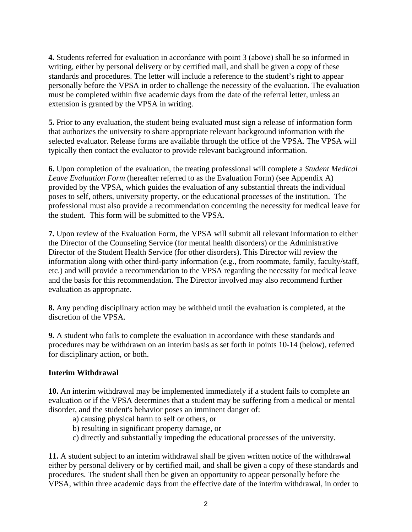**4.** Students referred for evaluation in accordance with point 3 (above) shall be so informed in writing, either by personal delivery or by certified mail, and shall be given a copy of these standards and procedures. The letter will include a reference to the student's right to appear personally before the VPSA in order to challenge the necessity of the evaluation. The evaluation must be completed within five academic days from the date of the referral letter, unless an extension is granted by the VPSA in writing.

**5.** Prior to any evaluation, the student being evaluated must sign a release of information form that authorizes the university to share appropriate relevant background information with the selected evaluator. Release forms are available through the office of the VPSA. The VPSA will typically then contact the evaluator to provide relevant background information.

**6.** Upon completion of the evaluation, the treating professional will complete a *Student Medical Leave Evaluation Form* (hereafter referred to as the Evaluation Form) (see Appendix A) provided by the VPSA, which guides the evaluation of any substantial threats the individual poses to self, others, university property, or the educational processes of the institution. The professional must also provide a recommendation concerning the necessity for medical leave for the student. This form will be submitted to the VPSA.

**7.** Upon review of the Evaluation Form, the VPSA will submit all relevant information to either the Director of the Counseling Service (for mental health disorders) or the Administrative Director of the Student Health Service (for other disorders). This Director will review the information along with other third-party information (e.g., from roommate, family, faculty/staff, etc.) and will provide a recommendation to the VPSA regarding the necessity for medical leave and the basis for this recommendation. The Director involved may also recommend further evaluation as appropriate.

**8.** Any pending disciplinary action may be withheld until the evaluation is completed, at the discretion of the VPSA.

**9.** A student who fails to complete the evaluation in accordance with these standards and procedures may be withdrawn on an interim basis as set forth in points 10-14 (below), referred for disciplinary action, or both.

### **Interim Withdrawal**

**10.** An interim withdrawal may be implemented immediately if a student fails to complete an evaluation or if the VPSA determines that a student may be suffering from a medical or mental disorder, and the student's behavior poses an imminent danger of:

- a) causing physical harm to self or others, or
- b) resulting in significant property damage, or
- c) directly and substantially impeding the educational processes of the university.

**11.** A student subject to an interim withdrawal shall be given written notice of the withdrawal either by personal delivery or by certified mail, and shall be given a copy of these standards and procedures. The student shall then be given an opportunity to appear personally before the VPSA, within three academic days from the effective date of the interim withdrawal, in order to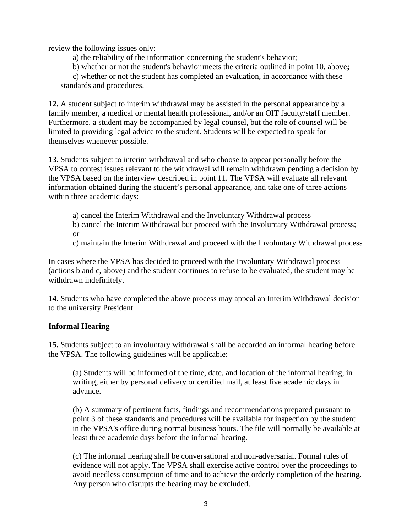review the following issues only:

a) the reliability of the information concerning the student's behavior;

b) whether or not the student's behavior meets the criteria outlined in point 10, above**;** 

c) whether or not the student has completed an evaluation, in accordance with these standards and procedures.

**12.** A student subject to interim withdrawal may be assisted in the personal appearance by a family member, a medical or mental health professional, and/or an OIT faculty/staff member. Furthermore, a student may be accompanied by legal counsel, but the role of counsel will be limited to providing legal advice to the student. Students will be expected to speak for themselves whenever possible.

**13.** Students subject to interim withdrawal and who choose to appear personally before the VPSA to contest issues relevant to the withdrawal will remain withdrawn pending a decision by the VPSA based on the interview described in point 11. The VPSA will evaluate all relevant information obtained during the student's personal appearance, and take one of three actions within three academic days:

a) cancel the Interim Withdrawal and the Involuntary Withdrawal process

b) cancel the Interim Withdrawal but proceed with the Involuntary Withdrawal process; or

c) maintain the Interim Withdrawal and proceed with the Involuntary Withdrawal process

In cases where the VPSA has decided to proceed with the Involuntary Withdrawal process (actions b and c, above) and the student continues to refuse to be evaluated, the student may be withdrawn indefinitely.

**14.** Students who have completed the above process may appeal an Interim Withdrawal decision to the university President.

#### **Informal Hearing**

**15.** Students subject to an involuntary withdrawal shall be accorded an informal hearing before the VPSA. The following guidelines will be applicable:

(a) Students will be informed of the time, date, and location of the informal hearing, in writing, either by personal delivery or certified mail, at least five academic days in advance.

(b) A summary of pertinent facts, findings and recommendations prepared pursuant to point 3 of these standards and procedures will be available for inspection by the student in the VPSA's office during normal business hours. The file will normally be available at least three academic days before the informal hearing.

(c) The informal hearing shall be conversational and non-adversarial. Formal rules of evidence will not apply. The VPSA shall exercise active control over the proceedings to avoid needless consumption of time and to achieve the orderly completion of the hearing. Any person who disrupts the hearing may be excluded.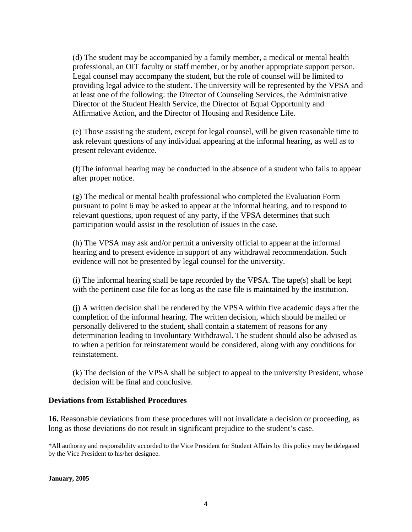(d) The student may be accompanied by a family member, a medical or mental health professional, an OIT faculty or staff member, or by another appropriate support person. Legal counsel may accompany the student, but the role of counsel will be limited to providing legal advice to the student. The university will be represented by the VPSA and at least one of the following: the Director of Counseling Services, the Administrative Director of the Student Health Service, the Director of Equal Opportunity and Affirmative Action, and the Director of Housing and Residence Life.

(e) Those assisting the student, except for legal counsel, will be given reasonable time to ask relevant questions of any individual appearing at the informal hearing, as well as to present relevant evidence.

(f)The informal hearing may be conducted in the absence of a student who fails to appear after proper notice.

(g) The medical or mental health professional who completed the Evaluation Form pursuant to point 6 may be asked to appear at the informal hearing, and to respond to relevant questions, upon request of any party, if the VPSA determines that such participation would assist in the resolution of issues in the case.

(h) The VPSA may ask and/or permit a university official to appear at the informal hearing and to present evidence in support of any withdrawal recommendation. Such evidence will not be presented by legal counsel for the university.

(i) The informal hearing shall be tape recorded by the VPSA. The tape(s) shall be kept with the pertinent case file for as long as the case file is maintained by the institution.

(j) A written decision shall be rendered by the VPSA within five academic days after the completion of the informal hearing. The written decision, which should be mailed or personally delivered to the student, shall contain a statement of reasons for any determination leading to Involuntary Withdrawal. The student should also be advised as to when a petition for reinstatement would be considered, along with any conditions for reinstatement.

(k) The decision of the VPSA shall be subject to appeal to the university President, whose decision will be final and conclusive.

#### **Deviations from Established Procedures**

**16.** Reasonable deviations from these procedures will not invalidate a decision or proceeding, as long as those deviations do not result in significant prejudice to the student's case.

\*All authority and responsibility accorded to the Vice President for Student Affairs by this policy may be delegated by the Vice President to his/her designee.

**January, 2005**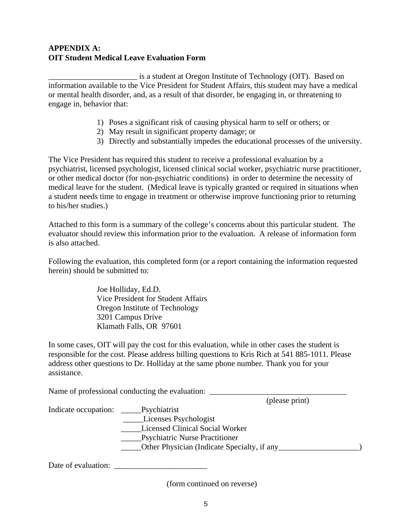## **APPENDIX A: OIT Student Medical Leave Evaluation Form**

\_\_\_\_\_\_\_\_\_\_\_\_\_\_\_\_\_\_\_\_\_\_ is a student at Oregon Institute of Technology (OIT). Based on information available to the Vice President for Student Affairs, this student may have a medical or mental health disorder, and, as a result of that disorder, be engaging in, or threatening to engage in, behavior that:

- 1) Poses a significant risk of causing physical harm to self or others; or
- 2) May result in significant property damage; or
- 3) Directly and substantially impedes the educational processes of the university.

The Vice President has required this student to receive a professional evaluation by a psychiatrist, licensed psychologist, licensed clinical social worker, psychiatric nurse practitioner, or other medical doctor (for non-psychiatric conditions) in order to determine the necessity of medical leave for the student. (Medical leave is typically granted or required in situations when a student needs time to engage in treatment or otherwise improve functioning prior to returning to his/her studies.)

Attached to this form is a summary of the college's concerns about this particular student. The evaluator should review this information prior to the evaluation. A release of information form is also attached.

Following the evaluation, this completed form (or a report containing the information requested herein) should be submitted to:

> Joe Holliday, Ed.D. Vice President for Student Affairs Oregon Institute of Technology 3201 Campus Drive Klamath Falls, OR 97601

In some cases, OIT will pay the cost for this evaluation, while in other cases the student is responsible for the cost. Please address billing questions to Kris Rich at 541 885-1011. Please address other questions to Dr. Holliday at the same phone number. Thank you for your assistance.

Name of professional conducting the evaluation: \_\_\_\_\_\_\_\_\_\_\_\_\_\_\_\_\_\_\_\_\_\_\_\_\_\_\_\_\_\_\_\_\_\_

(please print)

| Indicate occupation: | Psychiatrist                                       |  |
|----------------------|----------------------------------------------------|--|
|                      | Licenses Psychologist                              |  |
|                      | <b>Licensed Clinical Social Worker</b>             |  |
|                      | <b>Psychiatric Nurse Practitioner</b>              |  |
|                      | <b>Other Physician (Indicate Specialty, if any</b> |  |
|                      |                                                    |  |

Date of evaluation:

(form continued on reverse)